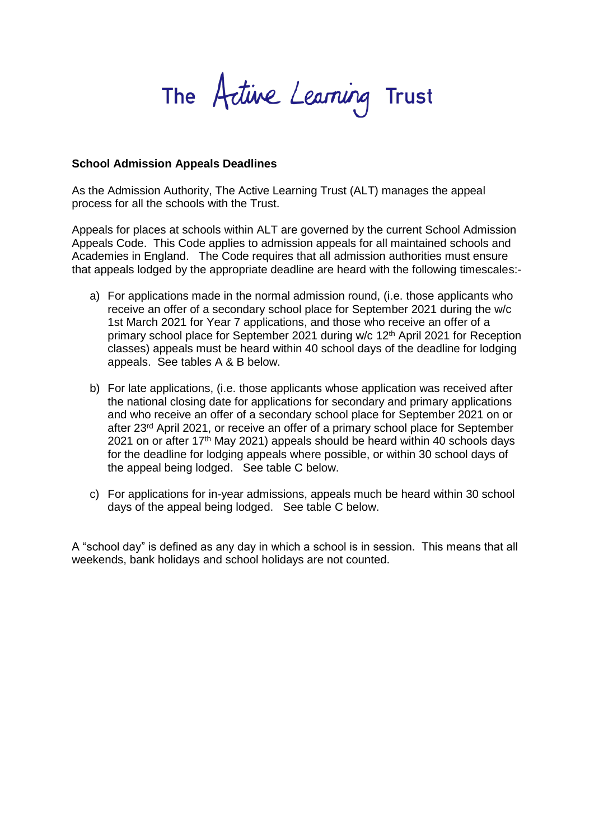The Active Learning Trust

## **School Admission Appeals Deadlines**

As the Admission Authority, The Active Learning Trust (ALT) manages the appeal process for all the schools with the Trust.

Appeals for places at schools within ALT are governed by the current School Admission Appeals Code. This Code applies to admission appeals for all maintained schools and Academies in England. The Code requires that all admission authorities must ensure that appeals lodged by the appropriate deadline are heard with the following timescales:-

- a) For applications made in the normal admission round, (i.e. those applicants who receive an offer of a secondary school place for September 2021 during the w/c 1st March 2021 for Year 7 applications, and those who receive an offer of a primary school place for September 2021 during w/c 12th April 2021 for Reception classes) appeals must be heard within 40 school days of the deadline for lodging appeals. See tables A & B below.
- b) For late applications, (i.e. those applicants whose application was received after the national closing date for applications for secondary and primary applications and who receive an offer of a secondary school place for September 2021 on or after 23rd April 2021, or receive an offer of a primary school place for September 2021 on or after 17th May 2021) appeals should be heard within 40 schools days for the deadline for lodging appeals where possible, or within 30 school days of the appeal being lodged. See table C below.
- c) For applications for in-year admissions, appeals much be heard within 30 school days of the appeal being lodged. See table C below.

A "school day" is defined as any day in which a school is in session. This means that all weekends, bank holidays and school holidays are not counted.